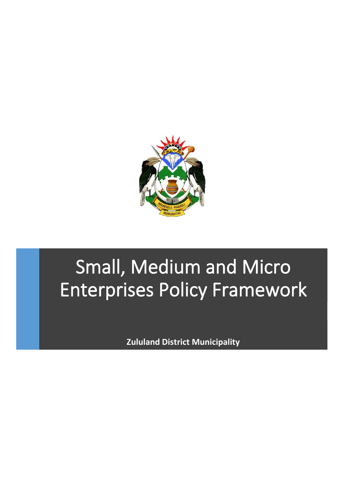

# Small, Medium and Micro Enterprises Policy Framework

**Zululand District Municipality**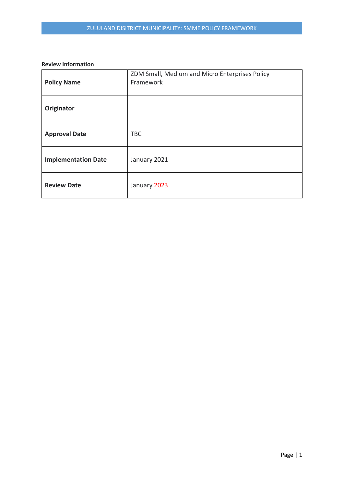#### **Review Information**

| <b>Policy Name</b>         | ZDM Small, Medium and Micro Enterprises Policy<br>Framework |
|----------------------------|-------------------------------------------------------------|
| Originator                 |                                                             |
| <b>Approval Date</b>       | <b>TBC</b>                                                  |
| <b>Implementation Date</b> | January 2021                                                |
| <b>Review Date</b>         | January 2023                                                |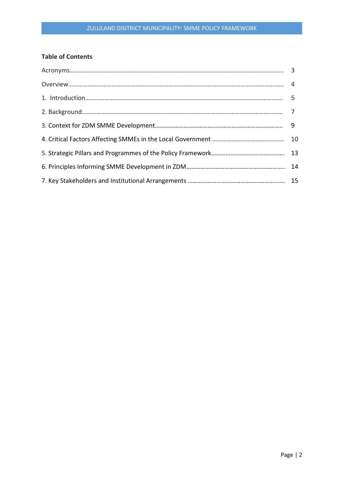# **Table of Contents**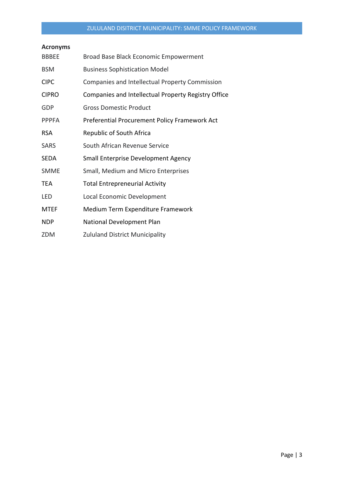# **Acronyms**

| <b>BBBEE</b> | Broad Base Black Economic Empowerment               |
|--------------|-----------------------------------------------------|
| <b>BSM</b>   | <b>Business Sophistication Model</b>                |
| <b>CIPC</b>  | Companies and Intellectual Property Commission      |
| <b>CIPRO</b> | Companies and Intellectual Property Registry Office |
| GDP          | <b>Gross Domestic Product</b>                       |
| <b>PPPFA</b> | Preferential Procurement Policy Framework Act       |
| <b>RSA</b>   | Republic of South Africa                            |
| <b>SARS</b>  | South African Revenue Service                       |
| SEDA         | <b>Small Enterprise Development Agency</b>          |
| <b>SMME</b>  | Small, Medium and Micro Enterprises                 |
| TEA          | <b>Total Entrepreneurial Activity</b>               |
| LED          | Local Economic Development                          |
| <b>MTEF</b>  | Medium Term Expenditure Framework                   |
| <b>NDP</b>   | National Development Plan                           |
| ZDM          | <b>Zululand District Municipality</b>               |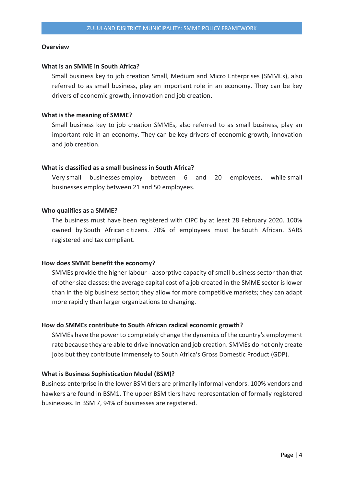#### **Overview**

#### **What is an SMME in South Africa?**

Small business key to job creation Small, Medium and Micro Enterprises (SMMEs), also referred to as small business, play an important role in an economy. They can be key drivers of economic growth, innovation and job creation.

#### **What is the meaning of SMME?**

Small business key to job creation SMMEs, also referred to as small business, play an important role in an economy. They can be key drivers of economic growth, innovation and job creation.

#### **What is classified as a small business in South Africa?**

Very small businesses employ between 6 and 20 employees, while small businesses employ between 21 and 50 employees.

#### **Who qualifies as a SMME?**

The business must have been registered with CIPC by at least 28 February 2020. 100% owned by South African citizens. 70% of employees must be South African. SARS registered and tax compliant.

#### **How does SMME benefit the economy?**

SMMEs provide the higher labour - absorptive capacity of small business sector than that of other size classes; the average capital cost of a job created in the SMME sector is lower than in the big business sector; they allow for more competitive markets; they can adapt more rapidly than larger organizations to changing.

#### **How do SMMEs contribute to South African radical economic growth?**

SMMEs have the power to completely change the dynamics of the country's employment rate because they are able to drive innovation and job creation. SMMEs do not only create jobs but they contribute immensely to South Africa's Gross Domestic Product (GDP).

#### **What is Business Sophistication Model (BSM)?**

Business enterprise in the lower BSM tiers are primarily informal vendors. 100% vendors and hawkers are found in BSM1. The upper BSM tiers have representation of formally registered businesses. In BSM 7, 94% of businesses are registered.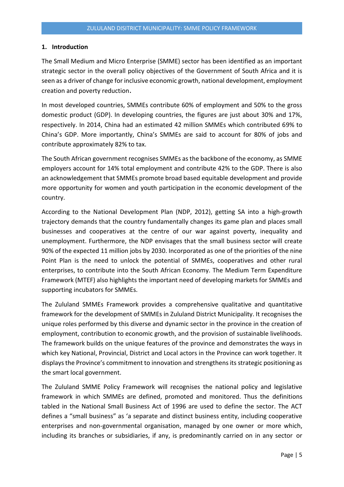#### **1. Introduction**

The Small Medium and Micro Enterprise (SMME) sector has been identified as an important strategic sector in the overall policy objectives of the Government of South Africa and it is seen as a driver of change for inclusive economic growth, national development, employment creation and poverty reduction.

In most developed countries, SMMEs contribute 60% of employment and 50% to the gross domestic product (GDP). In developing countries, the figures are just about 30% and 17%, respectively. In 2014, China had an estimated 42 million SMMEs which contributed 69% to China's GDP. More importantly, China's SMMEs are said to account for 80% of jobs and contribute approximately 82% to tax.

The South African government recognises SMMEs as the backbone of the economy, as SMME employers account for 14% total employment and contribute 42% to the GDP. There is also an acknowledgement that SMMEs promote broad based equitable development and provide more opportunity for women and youth participation in the economic development of the country.

According to the National Development Plan (NDP, 2012), getting SA into a high-growth trajectory demands that the country fundamentally changes its game plan and places small businesses and cooperatives at the centre of our war against poverty, inequality and unemployment. Furthermore, the NDP envisages that the small business sector will create 90% of the expected 11 million jobs by 2030. Incorporated as one of the priorities of the nine Point Plan is the need to unlock the potential of SMMEs, cooperatives and other rural enterprises, to contribute into the South African Economy. The Medium Term Expenditure Framework (MTEF) also highlights the important need of developing markets for SMMEs and supporting incubators for SMMEs.

The Zululand SMMEs Framework provides a comprehensive qualitative and quantitative framework for the development of SMMEs in Zululand District Municipality. It recognises the unique roles performed by this diverse and dynamic sector in the province in the creation of employment, contribution to economic growth, and the provision of sustainable livelihoods. The framework builds on the unique features of the province and demonstrates the ways in which key National, Provincial, District and Local actors in the Province can work together. It displays the Province's commitment to innovation and strengthens its strategic positioning as the smart local government.

The Zululand SMME Policy Framework will recognises the national policy and legislative framework in which SMMEs are defined, promoted and monitored. Thus the definitions tabled in the National Small Business Act of 1996 are used to define the sector. The ACT defines a "small business" as 'a separate and distinct business entity, including cooperative enterprises and non-governmental organisation, managed by one owner or more which, including its branches or subsidiaries, if any, is predominantly carried on in any sector or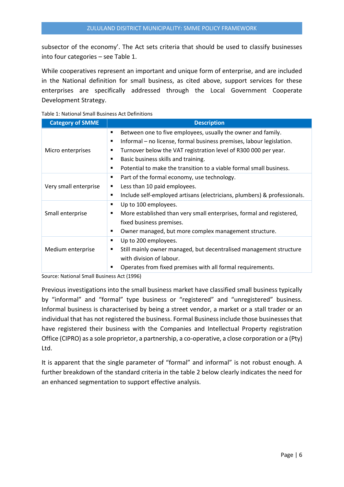subsector of the economy'. The Act sets criteria that should be used to classify businesses into four categories – see Table 1.

While cooperatives represent an important and unique form of enterprise, and are included in the National definition for small business, as cited above, support services for these enterprises are specifically addressed through the Local Government Cooperate Development Strategy.

| Table 1: National Small Business Act Definitions |  |
|--------------------------------------------------|--|
|--------------------------------------------------|--|

| <b>Category of SMME</b> | <b>Description</b>                                                                                                                                                                                                                                                                                                                                                                    |
|-------------------------|---------------------------------------------------------------------------------------------------------------------------------------------------------------------------------------------------------------------------------------------------------------------------------------------------------------------------------------------------------------------------------------|
| Micro enterprises       | Between one to five employees, usually the owner and family.<br>٠<br>Informal – no license, formal business premises, labour legislation.<br>$\blacksquare$<br>Turnover below the VAT registration level of R300 000 per year.<br>п<br>Basic business skills and training.<br>$\blacksquare$<br>Potential to make the transition to a viable formal small business.<br>$\blacksquare$ |
| Very small enterprise   | Part of the formal economy, use technology.<br>п<br>Less than 10 paid employees.<br>٠<br>Include self-employed artisans (electricians, plumbers) & professionals.<br>$\blacksquare$                                                                                                                                                                                                   |
| Small enterprise        | Up to 100 employees.<br>٠<br>More established than very small enterprises, formal and registered,<br>٠<br>fixed business premises.<br>Owner managed, but more complex management structure.<br>п                                                                                                                                                                                      |
| Medium enterprise       | Up to 200 employees.<br>٠<br>Still mainly owner managed, but decentralised management structure<br>٠<br>with division of labour.<br>Operates from fixed premises with all formal requirements.<br>п                                                                                                                                                                                   |

Source: National Small Business Act (1996)

Previous investigations into the small business market have classified small business typically by "informal" and "formal" type business or "registered" and "unregistered" business. Informal business is characterised by being a street vendor, a market or a stall trader or an individual that has not registered the business. Formal Business include those businesses that have registered their business with the Companies and Intellectual Property registration Office (CIPRO) as a sole proprietor, a partnership, a co-operative, a close corporation or a (Pty) Ltd.

It is apparent that the single parameter of "formal" and informal" is not robust enough. A further breakdown of the standard criteria in the table 2 below clearly indicates the need for an enhanced segmentation to support effective analysis.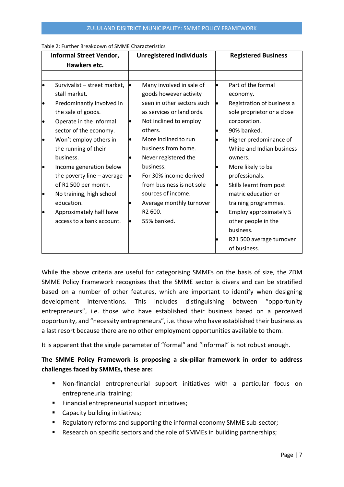| Informal Street Vendor,      |  | <b>Unregistered Individuals</b> |           | <b>Registered Business</b>    |  |
|------------------------------|--|---------------------------------|-----------|-------------------------------|--|
| Hawkers etc.                 |  |                                 |           |                               |  |
|                              |  |                                 |           |                               |  |
| Survivalist - street market, |  | Many involved in sale of        | $\bullet$ | Part of the formal            |  |
| stall market.                |  | goods however activity          |           | economy.                      |  |
| Predominantly involved in    |  | seen in other sectors such      | $\bullet$ | Registration of business a    |  |
| the sale of goods.           |  | as services or landlords.       |           | sole proprietor or a close    |  |
| Operate in the informal      |  | Not inclined to employ          |           | corporation.                  |  |
| sector of the economy.       |  | others.                         |           | 90% banked.                   |  |
| Won't employ others in       |  | More inclined to run            |           | Higher predominance of        |  |
| the running of their         |  | business from home.             |           | White and Indian business     |  |
| business.                    |  | Never registered the            |           | owners.                       |  |
| Income generation below      |  | business.                       |           | More likely to be             |  |
| the poverty line - average   |  | For 30% income derived          |           | professionals.                |  |
| of R1 500 per month.         |  | from business is not sole       | $\bullet$ | Skills learnt from post       |  |
| No training, high school     |  | sources of income.              |           | matric education or           |  |
| education.                   |  | Average monthly turnover        |           | training programmes.          |  |
| Approximately half have      |  | R <sub>2</sub> 600.             |           | <b>Employ approximately 5</b> |  |
| access to a bank account.    |  | 55% banked.                     |           | other people in the           |  |
|                              |  |                                 |           | business.                     |  |
|                              |  |                                 |           | R21 500 average turnover      |  |
|                              |  |                                 |           | of business.                  |  |

Table 2: Further Breakdown of SMME Characteristics

While the above criteria are useful for categorising SMMEs on the basis of size, the ZDM SMME Policy Framework recognises that the SMME sector is divers and can be stratified based on a number of other features, which are important to identify when designing development interventions. This includes distinguishing between "opportunity entrepreneurs", i.e. those who have established their business based on a perceived opportunity, and "necessity entrepreneurs", i.e. those who have established their business as a last resort because there are no other employment opportunities available to them.

It is apparent that the single parameter of "formal" and "informal" is not robust enough.

# **The SMME Policy Framework is proposing a six-pillar framework in order to address challenges faced by SMMEs, these are:**

- Non-financial entrepreneurial support initiatives with a particular focus on entrepreneurial training;
- Financial entrepreneurial support initiatives;
- Capacity building initiatives;
- Regulatory reforms and supporting the informal economy SMME sub-sector;
- Research on specific sectors and the role of SMMEs in building partnerships;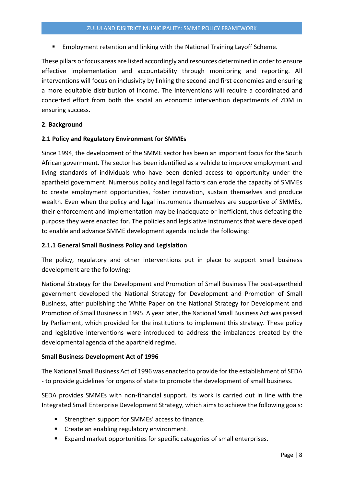**Employment retention and linking with the National Training Layoff Scheme.** 

These pillars or focus areas are listed accordingly and resources determined in order to ensure effective implementation and accountability through monitoring and reporting. All interventions will focus on inclusivity by linking the second and first economies and ensuring a more equitable distribution of income. The interventions will require a coordinated and concerted effort from both the social an economic intervention departments of ZDM in ensuring success.

## **2**. **Background**

#### **2.1 Policy and Regulatory Environment for SMMEs**

Since 1994, the development of the SMME sector has been an important focus for the South African government. The sector has been identified as a vehicle to improve employment and living standards of individuals who have been denied access to opportunity under the apartheid government. Numerous policy and legal factors can erode the capacity of SMMEs to create employment opportunities, foster innovation, sustain themselves and produce wealth. Even when the policy and legal instruments themselves are supportive of SMMEs, their enforcement and implementation may be inadequate or inefficient, thus defeating the purpose they were enacted for. The policies and legislative instruments that were developed to enable and advance SMME development agenda include the following:

## **2.1.1 General Small Business Policy and Legislation**

The policy, regulatory and other interventions put in place to support small business development are the following:

National Strategy for the Development and Promotion of Small Business The post-apartheid government developed the National Strategy for Development and Promotion of Small Business, after publishing the White Paper on the National Strategy for Development and Promotion of Small Business in 1995. A year later, the National Small Business Act was passed by Parliament, which provided for the institutions to implement this strategy. These policy and legislative interventions were introduced to address the imbalances created by the developmental agenda of the apartheid regime.

## **Small Business Development Act of 1996**

The National Small Business Act of 1996 was enacted to provide for the establishment of SEDA - to provide guidelines for organs of state to promote the development of small business.

SEDA provides SMMEs with non-financial support. Its work is carried out in line with the Integrated Small Enterprise Development Strategy, which aims to achieve the following goals:

- Strengthen support for SMMEs' access to finance.
- Create an enabling regulatory environment.
- Expand market opportunities for specific categories of small enterprises.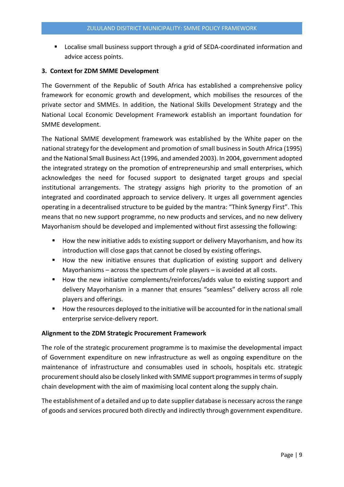Localise small business support through a grid of SEDA-coordinated information and advice access points.

## **3. Context for ZDM SMME Development**

The Government of the Republic of South Africa has established a comprehensive policy framework for economic growth and development, which mobilises the resources of the private sector and SMMEs. In addition, the National Skills Development Strategy and the National Local Economic Development Framework establish an important foundation for SMME development.

The National SMME development framework was established by the White paper on the national strategy for the development and promotion of small business in South Africa (1995) and the National Small Business Act (1996, and amended 2003). In 2004, government adopted the integrated strategy on the promotion of entrepreneurship and small enterprises, which acknowledges the need for focused support to designated target groups and special institutional arrangements. The strategy assigns high priority to the promotion of an integrated and coordinated approach to service delivery. It urges all government agencies operating in a decentralised structure to be guided by the mantra: "Think Synergy First". This means that no new support programme, no new products and services, and no new delivery Mayorhanism should be developed and implemented without first assessing the following:

- How the new initiative adds to existing support or delivery Mayorhanism, and how its introduction will close gaps that cannot be closed by existing offerings.
- How the new initiative ensures that duplication of existing support and delivery Mayorhanisms – across the spectrum of role players – is avoided at all costs.
- How the new initiative complements/reinforces/adds value to existing support and delivery Mayorhanism in a manner that ensures "seamless" delivery across all role players and offerings.
- How the resources deployed to the initiative will be accounted for in the national small enterprise service-delivery report.

## **Alignment to the ZDM Strategic Procurement Framework**

The role of the strategic procurement programme is to maximise the developmental impact of Government expenditure on new infrastructure as well as ongoing expenditure on the maintenance of infrastructure and consumables used in schools, hospitals etc. strategic procurement should also be closely linked with SMME support programmes in terms of supply chain development with the aim of maximising local content along the supply chain.

The establishment of a detailed and up to date supplier database is necessary across the range of goods and services procured both directly and indirectly through government expenditure.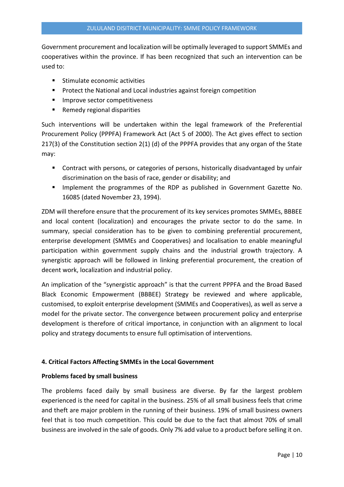Government procurement and localization will be optimally leveraged to support SMMEs and cooperatives within the province. If has been recognized that such an intervention can be used to:

- Stimulate economic activities
- Protect the National and Local industries against foreign competition
- Improve sector competitiveness
- Remedy regional disparities

Such interventions will be undertaken within the legal framework of the Preferential Procurement Policy (PPPFA) Framework Act (Act 5 of 2000). The Act gives effect to section 217(3) of the Constitution section 2(1) (d) of the PPPFA provides that any organ of the State may:

- Contract with persons, or categories of persons, historically disadvantaged by unfair discrimination on the basis of race, gender or disability; and
- **E** Implement the programmes of the RDP as published in Government Gazette No. 16085 (dated November 23, 1994).

ZDM will therefore ensure that the procurement of its key services promotes SMMEs, BBBEE and local content (localization) and encourages the private sector to do the same. In summary, special consideration has to be given to combining preferential procurement, enterprise development (SMMEs and Cooperatives) and localisation to enable meaningful participation within government supply chains and the industrial growth trajectory. A synergistic approach will be followed in linking preferential procurement, the creation of decent work, localization and industrial policy.

An implication of the "synergistic approach" is that the current PPPFA and the Broad Based Black Economic Empowerment (BBBEE) Strategy be reviewed and where applicable, customised, to exploit enterprise development (SMMEs and Cooperatives), as well as serve a model for the private sector. The convergence between procurement policy and enterprise development is therefore of critical importance, in conjunction with an alignment to local policy and strategy documents to ensure full optimisation of interventions.

# **4. Critical Factors Affecting SMMEs in the Local Government**

## **Problems faced by small business**

The problems faced daily by small business are diverse. By far the largest problem experienced is the need for capital in the business. 25% of all small business feels that crime and theft are major problem in the running of their business. 19% of small business owners feel that is too much competition. This could be due to the fact that almost 70% of small business are involved in the sale of goods. Only 7% add value to a product before selling it on.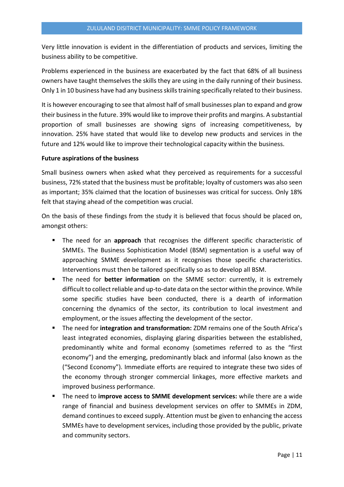Very little innovation is evident in the differentiation of products and services, limiting the business ability to be competitive.

Problems experienced in the business are exacerbated by the fact that 68% of all business owners have taught themselves the skills they are using in the daily running of their business. Only 1 in 10 business have had any business skills training specifically related to their business.

It is however encouraging to see that almost half of small businesses plan to expand and grow their business in the future. 39% would like to improve their profits and margins. A substantial proportion of small businesses are showing signs of increasing competitiveness, by innovation. 25% have stated that would like to develop new products and services in the future and 12% would like to improve their technological capacity within the business.

#### **Future aspirations of the business**

Small business owners when asked what they perceived as requirements for a successful business, 72% stated that the business must be profitable; loyalty of customers was also seen as important; 35% claimed that the location of businesses was critical for success. Only 18% felt that staying ahead of the competition was crucial.

On the basis of these findings from the study it is believed that focus should be placed on, amongst others:

- The need for an **approach** that recognises the different specific characteristic of SMMEs. The Business Sophistication Model (BSM) segmentation is a useful way of approaching SMME development as it recognises those specific characteristics. Interventions must then be tailored specifically so as to develop all BSM.
- The need for **better information** on the SMME sector: currently, it is extremely difficult to collect reliable and up-to-date data on the sector within the province. While some specific studies have been conducted, there is a dearth of information concerning the dynamics of the sector, its contribution to local investment and employment, or the issues affecting the development of the sector.
- The need for integration and transformation: ZDM remains one of the South Africa's least integrated economies, displaying glaring disparities between the established, predominantly white and formal economy (sometimes referred to as the "first economy") and the emerging, predominantly black and informal (also known as the ("Second Economy"). Immediate efforts are required to integrate these two sides of the economy through stronger commercial linkages, more effective markets and improved business performance.
- The need to *improve access to SMME development services:* while there are a wide range of financial and business development services on offer to SMMEs in ZDM, demand continues to exceed supply. Attention must be given to enhancing the access SMMEs have to development services, including those provided by the public, private and community sectors.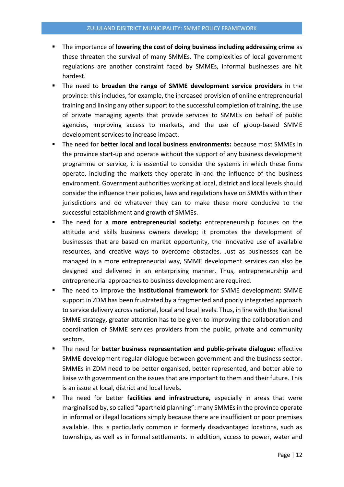- The importance of **lowering the cost of doing business including addressing crime** as these threaten the survival of many SMMEs. The complexities of local government regulations are another constraint faced by SMMEs, informal businesses are hit hardest.
- The need to **broaden the range of SMME development service providers** in the province: this includes, for example, the increased provision of online entrepreneurial training and linking any other support to the successful completion of training, the use of private managing agents that provide services to SMMEs on behalf of public agencies, improving access to markets, and the use of group-based SMME development services to increase impact.
- The need for **better local and local business environments:** because most SMMEs in the province start-up and operate without the support of any business development programme or service, it is essential to consider the systems in which these firms operate, including the markets they operate in and the influence of the business environment. Government authorities working at local, district and local levels should consider the influence their policies, laws and regulations have on SMMEs within their jurisdictions and do whatever they can to make these more conducive to the successful establishment and growth of SMMEs.
- The need for a more entrepreneurial society: entrepreneurship focuses on the attitude and skills business owners develop; it promotes the development of businesses that are based on market opportunity, the innovative use of available resources, and creative ways to overcome obstacles. Just as businesses can be managed in a more entrepreneurial way, SMME development services can also be designed and delivered in an enterprising manner. Thus, entrepreneurship and entrepreneurial approaches to business development are required.
- The need to improve the **institutional framework** for SMME development: SMME support in ZDM has been frustrated by a fragmented and poorly integrated approach to service delivery across national, local and local levels. Thus, in line with the National SMME strategy, greater attention has to be given to improving the collaboration and coordination of SMME services providers from the public, private and community sectors.
- The need for **better business representation and public-private dialogue:** effective SMME development regular dialogue between government and the business sector. SMMEs in ZDM need to be better organised, better represented, and better able to liaise with government on the issues that are important to them and their future. This is an issue at local, district and local levels.
- The need for better **facilities and infrastructure,** especially in areas that were marginalised by, so called "apartheid planning": many SMMEs in the province operate in informal or illegal locations simply because there are insufficient or poor premises available. This is particularly common in formerly disadvantaged locations, such as townships, as well as in formal settlements. In addition, access to power, water and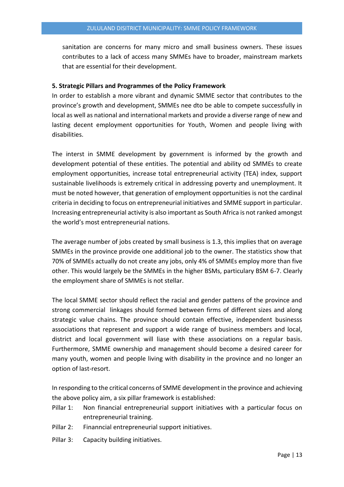sanitation are concerns for many micro and small business owners. These issues contributes to a lack of access many SMMEs have to broader, mainstream markets that are essential for their development.

## **5. Strategic Pillars and Programmes of the Policy Framework**

In order to establish a more vibrant and dynamic SMME sector that contributes to the province's growth and development, SMMEs nee dto be able to compete successfully in local as well as national and international markets and provide a diverse range of new and lasting decent employment opportunities for Youth, Women and people living with disabilities.

The interst in SMME development by government is informed by the growth and development potential of these entities. The potential and ability od SMMEs to create employment opportunities, increase total entrepreneurial activity (TEA) index, support sustainable livelihoods is extremely critical in addressing poverty and unemployment. It must be noted however, that generation of employment opportunities is not the cardinal criteria in deciding to focus on entrepreneurial initiatives and SMME support in particular. Increasing entrepreneurial activity is also important as South Africa is not ranked amongst the world's most entrepreneurial nations.

The average number of jobs created by small business is 1.3, this implies that on average SMMEs in the province provide one additional job to the owner. The statistics show that 70% of SMMEs actually do not create any jobs, only 4% of SMMEs employ more than five other. This would largely be the SMMEs in the higher BSMs, particulary BSM 6-7. Clearly the employment share of SMMEs is not stellar.

The local SMME sector should reflect the racial and gender pattens of the province and strong commercial linkages should formed between firms of different sizes and along strategic value chains. The province should contain effective, independent businesss associations that represent and support a wide range of business members and local, district and local government will liase with these associations on a regular basis. Furthermore, SMME ownership and management should become a desired career for many youth, women and people living with disability in the province and no longer an option of last-resort.

In responding to the critical concerns of SMME development in the province and achieving the above policy aim, a six pillar framework is established:

- Pillar 1: Non financial entrepreneurial support initiatives with a particular focus on entrepreneurial training.
- Pillar 2: Finanncial entrepreneurial support initiatives.
- Pillar 3: Capacity building initiatives.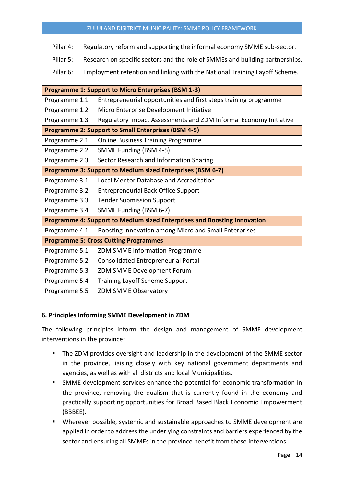- Pillar 4: Regulatory reform and supporting the informal economy SMME sub-sector.
- Pillar 5: Research on specific sectors and the role of SMMEs and building partnerships.
- Pillar 6: Employment retention and linking with the National Training Layoff Scheme.

| <b>Programme 1: Support to Micro Enterprises (BSM 1-3)</b>               |                                                                   |  |  |  |
|--------------------------------------------------------------------------|-------------------------------------------------------------------|--|--|--|
| Programme 1.1                                                            | Entrepreneurial opportunities and first steps training programme  |  |  |  |
| Programme 1.2                                                            | Micro Enterprise Development Initiative                           |  |  |  |
| Programme 1.3                                                            | Regulatory Impact Assessments and ZDM Informal Economy Initiative |  |  |  |
| <b>Programme 2: Support to Small Enterprises (BSM 4-5)</b>               |                                                                   |  |  |  |
| Programme 2.1                                                            | <b>Online Business Training Programme</b>                         |  |  |  |
| Programme 2.2                                                            | SMME Funding (BSM 4-5)                                            |  |  |  |
| Programme 2.3                                                            | Sector Research and Information Sharing                           |  |  |  |
| Programme 3: Support to Medium sized Enterprises (BSM 6-7)               |                                                                   |  |  |  |
| Programme 3.1                                                            | <b>Local Mentor Database and Accreditation</b>                    |  |  |  |
| Programme 3.2                                                            | <b>Entrepreneurial Back Office Support</b>                        |  |  |  |
| Programme 3.3                                                            | <b>Tender Submission Support</b>                                  |  |  |  |
| Programme 3.4                                                            | SMME Funding (BSM 6-7)                                            |  |  |  |
| Programme 4: Support to Medium sized Enterprises and Boosting Innovation |                                                                   |  |  |  |
| Programme 4.1                                                            | Boosting Innovation among Micro and Small Enterprises             |  |  |  |
| <b>Programme 5: Cross Cutting Programmes</b>                             |                                                                   |  |  |  |
| Programme 5.1                                                            | ZDM SMME Information Programme                                    |  |  |  |
| Programme 5.2                                                            | <b>Consolidated Entrepreneurial Portal</b>                        |  |  |  |
| Programme 5.3                                                            | ZDM SMME Development Forum                                        |  |  |  |
| Programme 5.4                                                            | <b>Training Layoff Scheme Support</b>                             |  |  |  |
| Programme 5.5                                                            | ZDM SMME Observatory                                              |  |  |  |

## **6. Principles Informing SMME Development in ZDM**

The following principles inform the design and management of SMME development interventions in the province:

- The ZDM provides oversight and leadership in the development of the SMME sector in the province, liaising closely with key national government departments and agencies, as well as with all districts and local Municipalities.
- **EXECT** SMME development services enhance the potential for economic transformation in the province, removing the dualism that is currently found in the economy and practically supporting opportunities for Broad Based Black Economic Empowerment (BBBEE).
- Wherever possible, systemic and sustainable approaches to SMME development are applied in order to address the underlying constraints and barriers experienced by the sector and ensuring all SMMEs in the province benefit from these interventions.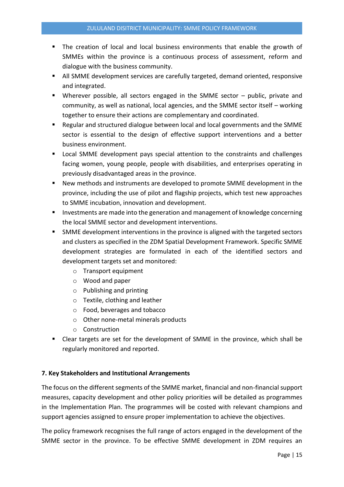- The creation of local and local business environments that enable the growth of SMMEs within the province is a continuous process of assessment, reform and dialogue with the business community.
- All SMME development services are carefully targeted, demand oriented, responsive and integrated.
- Wherever possible, all sectors engaged in the SMME sector public, private and community, as well as national, local agencies, and the SMME sector itself – working together to ensure their actions are complementary and coordinated.
- Regular and structured dialogue between local and local governments and the SMME sector is essential to the design of effective support interventions and a better business environment.
- Local SMME development pays special attention to the constraints and challenges facing women, young people, people with disabilities, and enterprises operating in previously disadvantaged areas in the province.
- New methods and instruments are developed to promote SMME development in the province, including the use of pilot and flagship projects, which test new approaches to SMME incubation, innovation and development.
- Investments are made into the generation and management of knowledge concerning the local SMME sector and development interventions.
- SMME development interventions in the province is aligned with the targeted sectors and clusters as specified in the ZDM Spatial Development Framework. Specific SMME development strategies are formulated in each of the identified sectors and development targets set and monitored:
	- o Transport equipment
	- o Wood and paper
	- o Publishing and printing
	- o Textile, clothing and leather
	- o Food, beverages and tobacco
	- o Other none-metal minerals products
	- o Construction
- Clear targets are set for the development of SMME in the province, which shall be regularly monitored and reported.

## **7. Key Stakeholders and Institutional Arrangements**

The focus on the different segments of the SMME market, financial and non-financial support measures, capacity development and other policy priorities will be detailed as programmes in the Implementation Plan. The programmes will be costed with relevant champions and support agencies assigned to ensure proper implementation to achieve the objectives.

The policy framework recognises the full range of actors engaged in the development of the SMME sector in the province. To be effective SMME development in ZDM requires an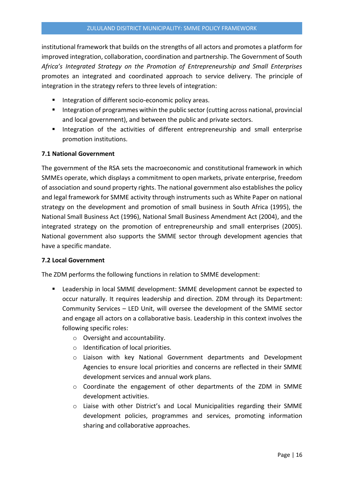institutional framework that builds on the strengths of all actors and promotes a platform for improved integration, collaboration, coordination and partnership. The Government of South *Africa's Integrated Strategy on the Promotion of Entrepreneurship and Small Enterprises* promotes an integrated and coordinated approach to service delivery. The principle of integration in the strategy refers to three levels of integration:

- Integration of different socio-economic policy areas.
- Integration of programmes within the public sector (cutting across national, provincial and local government), and between the public and private sectors.
- Integration of the activities of different entrepreneurship and small enterprise promotion institutions.

## **7.1 National Government**

The government of the RSA sets the macroeconomic and constitutional framework in which SMMEs operate, which displays a commitment to open markets, private enterprise, freedom of association and sound property rights. The national government also establishes the policy and legal framework for SMME activity through instruments such as White Paper on national strategy on the development and promotion of small business in South Africa (1995), the National Small Business Act (1996), National Small Business Amendment Act (2004), and the integrated strategy on the promotion of entrepreneurship and small enterprises (2005). National government also supports the SMME sector through development agencies that have a specific mandate.

## **7.2 Local Government**

The ZDM performs the following functions in relation to SMME development:

- Leadership in local SMME development: SMME development cannot be expected to occur naturally. It requires leadership and direction. ZDM through its Department: Community Services – LED Unit, will oversee the development of the SMME sector and engage all actors on a collaborative basis. Leadership in this context involves the following specific roles:
	- o Oversight and accountability.
	- o Identification of local priorities.
	- o Liaison with key National Government departments and Development Agencies to ensure local priorities and concerns are reflected in their SMME development services and annual work plans.
	- $\circ$  Coordinate the engagement of other departments of the ZDM in SMME development activities.
	- o Liaise with other District's and Local Municipalities regarding their SMME development policies, programmes and services, promoting information sharing and collaborative approaches.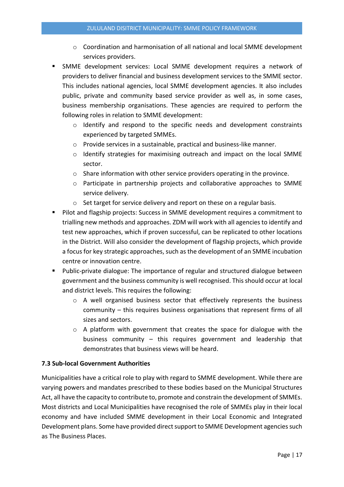- o Coordination and harmonisation of all national and local SMME development services providers.
- SMME development services: Local SMME development requires a network of providers to deliver financial and business development services to the SMME sector. This includes national agencies, local SMME development agencies. It also includes public, private and community based service provider as well as, in some cases, business membership organisations. These agencies are required to perform the following roles in relation to SMME development:
	- o Identify and respond to the specific needs and development constraints experienced by targeted SMMEs.
	- o Provide services in a sustainable, practical and business-like manner.
	- $\circ$  Identify strategies for maximising outreach and impact on the local SMME sector.
	- o Share information with other service providers operating in the province.
	- o Participate in partnership projects and collaborative approaches to SMME service delivery.
	- o Set target for service delivery and report on these on a regular basis.
- Pilot and flagship projects: Success in SMME development requires a commitment to trialling new methods and approaches. ZDM will work with all agencies to identify and test new approaches, which if proven successful, can be replicated to other locations in the District. Will also consider the development of flagship projects, which provide a focus for key strategic approaches, such as the development of an SMME incubation centre or innovation centre.
- Public-private dialogue: The importance of regular and structured dialogue between government and the business community is well recognised. This should occur at local and district levels. This requires the following:
	- o A well organised business sector that effectively represents the business community – this requires business organisations that represent firms of all sizes and sectors.
	- o A platform with government that creates the space for dialogue with the business community – this requires government and leadership that demonstrates that business views will be heard.

## **7.3 Sub-local Government Authorities**

Municipalities have a critical role to play with regard to SMME development. While there are varying powers and mandates prescribed to these bodies based on the Municipal Structures Act, all have the capacity to contribute to, promote and constrain the development of SMMEs. Most districts and Local Municipalities have recognised the role of SMMEs play in their local economy and have included SMME development in their Local Economic and Integrated Development plans. Some have provided direct support to SMME Development agencies such as The Business Places.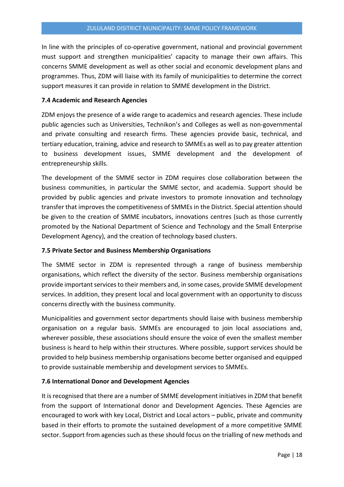In line with the principles of co-operative government, national and provincial government must support and strengthen municipalities' capacity to manage their own affairs. This concerns SMME development as well as other social and economic development plans and programmes. Thus, ZDM will liaise with its family of municipalities to determine the correct support measures it can provide in relation to SMME development in the District.

## **7.4 Academic and Research Agencies**

ZDM enjoys the presence of a wide range to academics and research agencies. These include public agencies such as Universities, Technikon's and Colleges as well as non-governmental and private consulting and research firms. These agencies provide basic, technical, and tertiary education, training, advice and research to SMMEs as well as to pay greater attention to business development issues, SMME development and the development of entrepreneurship skills.

The development of the SMME sector in ZDM requires close collaboration between the business communities, in particular the SMME sector, and academia. Support should be provided by public agencies and private investors to promote innovation and technology transfer that improves the competitiveness of SMMEs in the District. Special attention should be given to the creation of SMME incubators, innovations centres (such as those currently promoted by the National Department of Science and Technology and the Small Enterprise Development Agency), and the creation of technology based clusters.

## **7.5 Private Sector and Business Membership Organisations**

The SMME sector in ZDM is represented through a range of business membership organisations, which reflect the diversity of the sector. Business membership organisations provide important services to their members and, in some cases, provide SMME development services. In addition, they present local and local government with an opportunity to discuss concerns directly with the business community.

Municipalities and government sector departments should liaise with business membership organisation on a regular basis. SMMEs are encouraged to join local associations and, wherever possible, these associations should ensure the voice of even the smallest member business is heard to help within their structures. Where possible, support services should be provided to help business membership organisations become better organised and equipped to provide sustainable membership and development services to SMMEs.

# **7.6 International Donor and Development Agencies**

It is recognised that there are a number of SMME development initiatives in ZDM that benefit from the support of International donor and Development Agencies. These Agencies are encouraged to work with key Local, District and Local actors – public, private and community based in their efforts to promote the sustained development of a more competitive SMME sector. Support from agencies such as these should focus on the trialling of new methods and